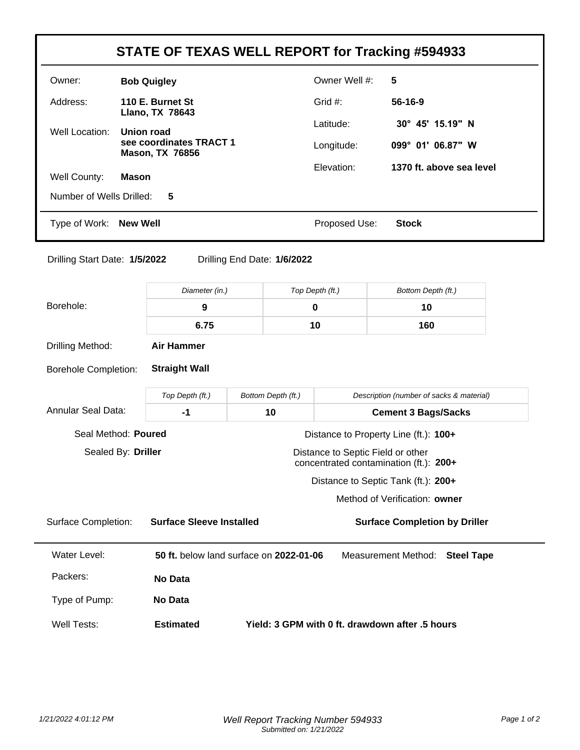|                                                                                                   |                                                                     |                                                                                     |                               | STATE OF TEXAS WELL REPORT for Tracking #594933 |  |  |
|---------------------------------------------------------------------------------------------------|---------------------------------------------------------------------|-------------------------------------------------------------------------------------|-------------------------------|-------------------------------------------------|--|--|
| Owner:                                                                                            | <b>Bob Quigley</b>                                                  |                                                                                     |                               | Owner Well #:<br>5                              |  |  |
| Address:                                                                                          | 110 E. Burnet St                                                    |                                                                                     | Grid #:                       | 56-16-9                                         |  |  |
| Well Location:                                                                                    | Llano, TX 78643<br><b>Union road</b>                                |                                                                                     |                               | 30° 45' 15.19" N                                |  |  |
|                                                                                                   | see coordinates TRACT 1<br><b>Mason, TX 76856</b>                   |                                                                                     |                               | 099° 01' 06.87" W                               |  |  |
| Well County:                                                                                      | <b>Mason</b>                                                        |                                                                                     | Elevation:                    | 1370 ft. above sea level                        |  |  |
| Number of Wells Drilled:                                                                          | 5                                                                   |                                                                                     |                               |                                                 |  |  |
| Type of Work:                                                                                     | <b>New Well</b>                                                     |                                                                                     | Proposed Use:<br><b>Stock</b> |                                                 |  |  |
| Drilling Start Date: 1/5/2022                                                                     |                                                                     | Drilling End Date: 1/6/2022                                                         |                               |                                                 |  |  |
|                                                                                                   | Diameter (in.)                                                      |                                                                                     | Top Depth (ft.)               | Bottom Depth (ft.)                              |  |  |
| Borehole:                                                                                         | 9                                                                   |                                                                                     | 0                             | 10                                              |  |  |
|                                                                                                   | 6.75                                                                |                                                                                     | 10                            | 160                                             |  |  |
| Drilling Method:                                                                                  | <b>Air Hammer</b>                                                   |                                                                                     |                               |                                                 |  |  |
| <b>Borehole Completion:</b>                                                                       | <b>Straight Wall</b>                                                |                                                                                     |                               |                                                 |  |  |
|                                                                                                   | Top Depth (ft.)                                                     | Bottom Depth (ft.)                                                                  |                               | Description (number of sacks & material)        |  |  |
| <b>Annular Seal Data:</b><br>$-1$                                                                 |                                                                     | 10                                                                                  |                               | <b>Cement 3 Bags/Sacks</b>                      |  |  |
| Seal Method: Poured<br>Distance to Property Line (ft.): 100+                                      |                                                                     |                                                                                     |                               |                                                 |  |  |
| Sealed By: Driller<br>Distance to Septic Field or other<br>concentrated contamination (ft.): 200+ |                                                                     |                                                                                     |                               |                                                 |  |  |
|                                                                                                   | Distance to Septic Tank (ft.): 200+                                 |                                                                                     |                               |                                                 |  |  |
|                                                                                                   |                                                                     |                                                                                     |                               | Method of Verification: owner                   |  |  |
| <b>Surface Completion:</b>                                                                        | <b>Surface Sleeve Installed</b>                                     |                                                                                     |                               | <b>Surface Completion by Driller</b>            |  |  |
| <b>Water Level:</b>                                                                               |                                                                     | 50 ft. below land surface on 2022-01-06<br>Measurement Method:<br><b>Steel Tape</b> |                               |                                                 |  |  |
| Packers:                                                                                          | No Data                                                             |                                                                                     |                               |                                                 |  |  |
| Type of Pump:                                                                                     | No Data                                                             |                                                                                     |                               |                                                 |  |  |
| <b>Well Tests:</b>                                                                                | Yield: 3 GPM with 0 ft. drawdown after .5 hours<br><b>Estimated</b> |                                                                                     |                               |                                                 |  |  |